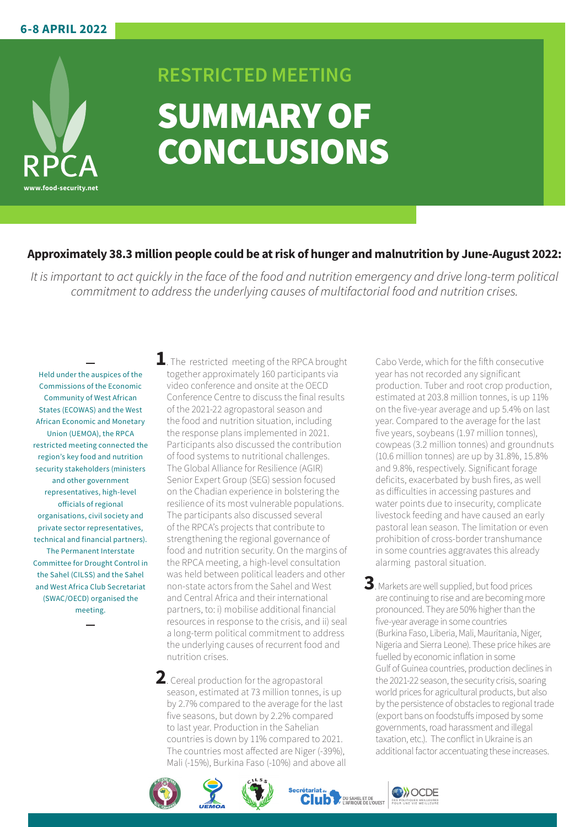

## **RESTRICTED MEETING** SUMMARY OF **CONCLUSIONS**

## **Approximately 38.3 million people could be at risk of hunger and malnutrition by June-August 2022:**

*It is important to act quickly in the face of the food and nutrition emergency and drive long-term political commitment to address the underlying causes of multifactorial food and nutrition crises.*

Held under the auspices of the Commissions of the Economic Community of West African States (ECOWAS) and the West African Economic and Monetary Union (UEMOA), the RPCA restricted meeting connected the region's key food and nutrition security stakeholders (ministers and other government representatives, high-level officials of regional organisations, civil society and private sector representatives, technical and financial partners). The Permanent Interstate Committee for Drought Control in the Sahel (CILSS) and the Sahel and West Africa Club Secretariat (SWAC/OECD) organised the meeting.

**1**. The restricted meeting of the RPCA brought together approximately 160 participants via video conference and onsite at the OECD Conference Centre to discuss the final results of the 2021-22 agropastoral season and the food and nutrition situation, including the response plans implemented in 2021. Participants also discussed the contribution of food systems to nutritional challenges. The Global Alliance for Resilience (AGIR) Senior Expert Group (SEG) session focused on the Chadian experience in bolstering the resilience of its most vulnerable populations. The participants also discussed several of the RPCA's projects that contribute to strengthening the regional governance of food and nutrition security. On the margins of the RPCA meeting, a high-level consultation was held between political leaders and other non-state actors from the Sahel and West and Central Africa and their international partners, to: i) mobilise additional financial resources in response to the crisis, and ii) seal a long-term political commitment to address the underlying causes of recurrent food and nutrition crises.

**2**. Cereal production for the agropastoral season, estimated at 73 million tonnes, is up by 2.7% compared to the average for the last five seasons, but down by 2.2% compared to last year. Production in the Sahelian countries is down by 11% compared to 2021. The countries most affected are Niger (-39%), Mali (-15%), Burkina Faso (-10%) and above all Cabo Verde, which for the fifth consecutive year has not recorded any significant production. Tuber and root crop production, estimated at 203.8 million tonnes, is up 11% on the five-year average and up 5.4% on last year. Compared to the average for the last five years, soybeans (1.97 million tonnes), cowpeas (3.2 million tonnes) and groundnuts (10.6 million tonnes) are up by 31.8%, 15.8% and 9.8%, respectively. Significant forage deficits, exacerbated by bush fires, as well as difficulties in accessing pastures and water points due to insecurity, complicate livestock feeding and have caused an early pastoral lean season. The limitation or even prohibition of cross-border transhumance in some countries aggravates this already

**3**.Markets are well supplied, but food prices are continuing to rise and are becoming more pronounced. They are 50% higher than the five-year average in some countries (Burkina Faso, Liberia, Mali, Mauritania, Niger, Nigeria and Sierra Leone). These price hikes are fuelled by economic inflation in some Gulf of Guinea countries, production declines in the 2021-22 season, the security crisis, soaring world prices for agricultural products, but also by the persistence of obstacles to regional trade (export bans on foodstuffs imposed by some governments, road harassment and illegal taxation, etc.). The conflict in Ukraine is an additional factor accentuating these increases.

alarming pastoral situation.